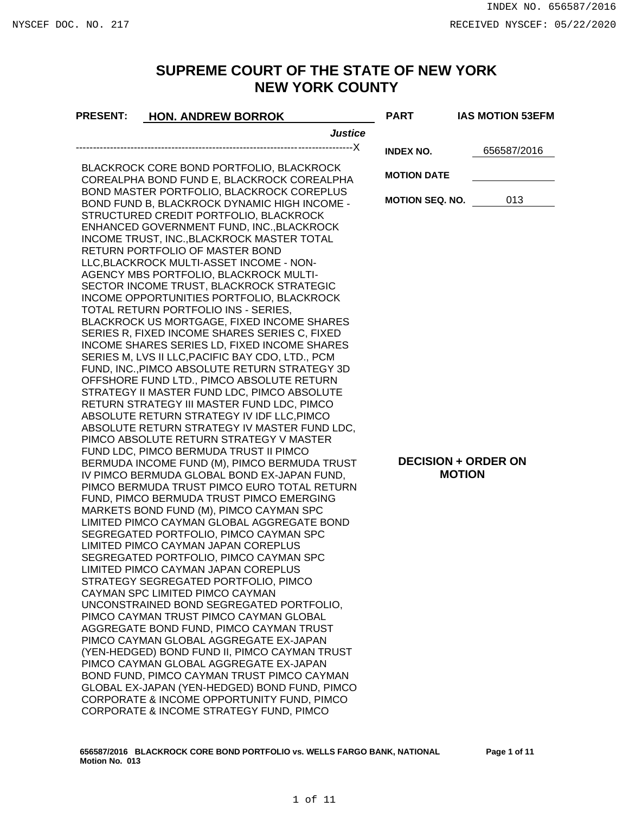## **SUPREME COURT OF THE STATE OF NEW YORK NEW YORK COUNTY**

| <b>PRESENT:</b>                                  | <b>HON. ANDREW BORROK</b>                                                                   | <b>PART</b>                | <b>IAS MOTION 53EFM</b> |
|--------------------------------------------------|---------------------------------------------------------------------------------------------|----------------------------|-------------------------|
|                                                  | <b>Justice</b>                                                                              |                            |                         |
|                                                  |                                                                                             | <b>INDEX NO.</b>           | 656587/2016             |
|                                                  | BLACKROCK CORE BOND PORTFOLIO, BLACKROCK                                                    |                            |                         |
|                                                  | COREALPHA BOND FUND E, BLACKROCK COREALPHA                                                  | <b>MOTION DATE</b>         |                         |
|                                                  | BOND MASTER PORTFOLIO, BLACKROCK COREPLUS                                                   |                            |                         |
|                                                  | BOND FUND B, BLACKROCK DYNAMIC HIGH INCOME -                                                | <b>MOTION SEQ. NO.</b>     | 013                     |
|                                                  | STRUCTURED CREDIT PORTFOLIO, BLACKROCK                                                      |                            |                         |
|                                                  | ENHANCED GOVERNMENT FUND, INC., BLACKROCK<br>INCOME TRUST, INC., BLACKROCK MASTER TOTAL     |                            |                         |
| RETURN PORTFOLIO OF MASTER BOND                  |                                                                                             |                            |                         |
| LLC, BLACKROCK MULTI-ASSET INCOME - NON-         |                                                                                             |                            |                         |
|                                                  | AGENCY MBS PORTFOLIO, BLACKROCK MULTI-                                                      |                            |                         |
|                                                  | SECTOR INCOME TRUST, BLACKROCK STRATEGIC                                                    |                            |                         |
| INCOME OPPORTUNITIES PORTFOLIO, BLACKROCK        |                                                                                             |                            |                         |
|                                                  | TOTAL RETURN PORTFOLIO INS - SERIES,                                                        |                            |                         |
|                                                  | BLACKROCK US MORTGAGE, FIXED INCOME SHARES<br>SERIES R, FIXED INCOME SHARES SERIES C, FIXED |                            |                         |
| INCOME SHARES SERIES LD, FIXED INCOME SHARES     |                                                                                             |                            |                         |
| SERIES M, LVS II LLC, PACIFIC BAY CDO, LTD., PCM |                                                                                             |                            |                         |
|                                                  | FUND, INC., PIMCO ABSOLUTE RETURN STRATEGY 3D                                               |                            |                         |
|                                                  | OFFSHORE FUND LTD., PIMCO ABSOLUTE RETURN                                                   |                            |                         |
| STRATEGY II MASTER FUND LDC, PIMCO ABSOLUTE      |                                                                                             |                            |                         |
|                                                  | RETURN STRATEGY III MASTER FUND LDC, PIMCO<br>ABSOLUTE RETURN STRATEGY IV IDF LLC, PIMCO    |                            |                         |
|                                                  | ABSOLUTE RETURN STRATEGY IV MASTER FUND LDC,                                                |                            |                         |
|                                                  | PIMCO ABSOLUTE RETURN STRATEGY V MASTER                                                     |                            |                         |
|                                                  | FUND LDC, PIMCO BERMUDA TRUST II PIMCO                                                      |                            |                         |
|                                                  | BERMUDA INCOME FUND (M), PIMCO BERMUDA TRUST                                                | <b>DECISION + ORDER ON</b> |                         |
| IV PIMCO BERMUDA GLOBAL BOND EX-JAPAN FUND,      |                                                                                             | <b>MOTION</b>              |                         |
|                                                  | PIMCO BERMUDA TRUST PIMCO EURO TOTAL RETURN                                                 |                            |                         |
|                                                  | FUND, PIMCO BERMUDA TRUST PIMCO EMERGING<br>MARKETS BOND FUND (M), PIMCO CAYMAN SPC         |                            |                         |
|                                                  | LIMITED PIMCO CAYMAN GLOBAL AGGREGATE BOND                                                  |                            |                         |
|                                                  | SEGREGATED PORTFOLIO, PIMCO CAYMAN SPC                                                      |                            |                         |
|                                                  | LIMITED PIMCO CAYMAN JAPAN COREPLUS                                                         |                            |                         |
|                                                  | SEGREGATED PORTFOLIO, PIMCO CAYMAN SPC                                                      |                            |                         |
| LIMITED PIMCO CAYMAN JAPAN COREPLUS              |                                                                                             |                            |                         |
|                                                  | STRATEGY SEGREGATED PORTFOLIO, PIMCO                                                        |                            |                         |
|                                                  | CAYMAN SPC LIMITED PIMCO CAYMAN<br>UNCONSTRAINED BOND SEGREGATED PORTFOLIO.                 |                            |                         |
|                                                  | PIMCO CAYMAN TRUST PIMCO CAYMAN GLOBAL                                                      |                            |                         |
|                                                  | AGGREGATE BOND FUND, PIMCO CAYMAN TRUST                                                     |                            |                         |
|                                                  | PIMCO CAYMAN GLOBAL AGGREGATE EX-JAPAN                                                      |                            |                         |
|                                                  | (YEN-HEDGED) BOND FUND II, PIMCO CAYMAN TRUST                                               |                            |                         |
|                                                  | PIMCO CAYMAN GLOBAL AGGREGATE EX-JAPAN                                                      |                            |                         |
|                                                  | BOND FUND, PIMCO CAYMAN TRUST PIMCO CAYMAN<br>GLOBAL EX-JAPAN (YEN-HEDGED) BOND FUND, PIMCO |                            |                         |
|                                                  | CORPORATE & INCOME OPPORTUNITY FUND, PIMCO                                                  |                            |                         |
|                                                  | CORPORATE & INCOME STRATEGY FUND, PIMCO                                                     |                            |                         |
|                                                  |                                                                                             |                            |                         |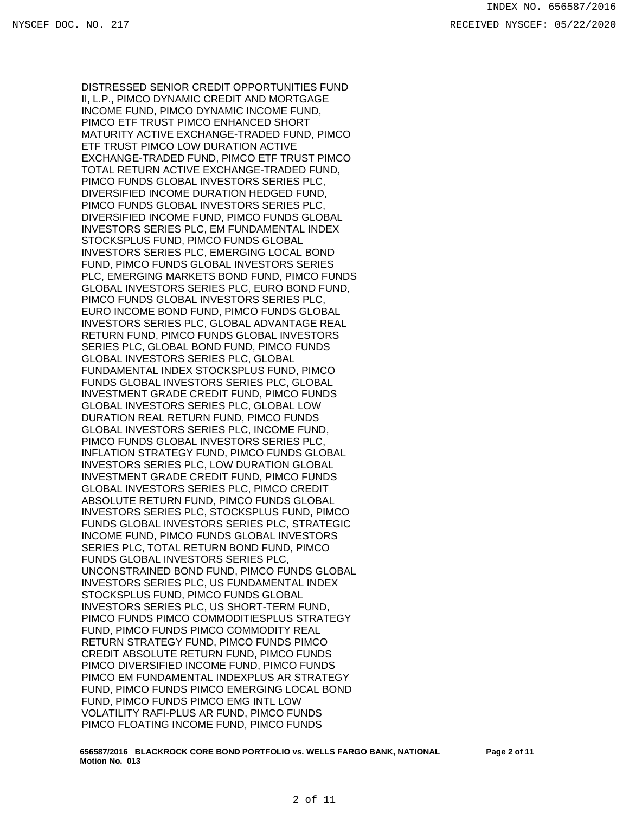DISTRESSED SENIOR CREDIT OPPORTUNITIES FUND II, L.P., PIMCO DYNAMIC CREDIT AND MORTGAGE INCOME FUND, PIMCO DYNAMIC INCOME FUND, PIMCO ETF TRUST PIMCO ENHANCED SHORT MATURITY ACTIVE EXCHANGE-TRADED FUND, PIMCO ETF TRUST PIMCO LOW DURATION ACTIVE EXCHANGE-TRADED FUND, PIMCO ETF TRUST PIMCO TOTAL RETURN ACTIVE EXCHANGE-TRADED FUND, PIMCO FUNDS GLOBAL INVESTORS SERIES PLC, DIVERSIFIED INCOME DURATION HEDGED FUND, PIMCO FUNDS GLOBAL INVESTORS SERIES PLC, DIVERSIFIED INCOME FUND, PIMCO FUNDS GLOBAL INVESTORS SERIES PLC, EM FUNDAMENTAL INDEX STOCKSPLUS FUND, PIMCO FUNDS GLOBAL INVESTORS SERIES PLC, EMERGING LOCAL BOND FUND, PIMCO FUNDS GLOBAL INVESTORS SERIES PLC, EMERGING MARKETS BOND FUND, PIMCO FUNDS GLOBAL INVESTORS SERIES PLC, EURO BOND FUND, PIMCO FUNDS GLOBAL INVESTORS SERIES PLC, EURO INCOME BOND FUND, PIMCO FUNDS GLOBAL INVESTORS SERIES PLC, GLOBAL ADVANTAGE REAL RETURN FUND, PIMCO FUNDS GLOBAL INVESTORS SERIES PLC, GLOBAL BOND FUND, PIMCO FUNDS GLOBAL INVESTORS SERIES PLC, GLOBAL FUNDAMENTAL INDEX STOCKSPLUS FUND, PIMCO FUNDS GLOBAL INVESTORS SERIES PLC, GLOBAL INVESTMENT GRADE CREDIT FUND, PIMCO FUNDS GLOBAL INVESTORS SERIES PLC, GLOBAL LOW DURATION REAL RETURN FUND, PIMCO FUNDS GLOBAL INVESTORS SERIES PLC, INCOME FUND, PIMCO FUNDS GLOBAL INVESTORS SERIES PLC, INFLATION STRATEGY FUND, PIMCO FUNDS GLOBAL INVESTORS SERIES PLC, LOW DURATION GLOBAL INVESTMENT GRADE CREDIT FUND, PIMCO FUNDS GLOBAL INVESTORS SERIES PLC, PIMCO CREDIT ABSOLUTE RETURN FUND, PIMCO FUNDS GLOBAL INVESTORS SERIES PLC, STOCKSPLUS FUND, PIMCO FUNDS GLOBAL INVESTORS SERIES PLC, STRATEGIC INCOME FUND, PIMCO FUNDS GLOBAL INVESTORS SERIES PLC, TOTAL RETURN BOND FUND, PIMCO FUNDS GLOBAL INVESTORS SERIES PLC, UNCONSTRAINED BOND FUND, PIMCO FUNDS GLOBAL INVESTORS SERIES PLC, US FUNDAMENTAL INDEX STOCKSPLUS FUND, PIMCO FUNDS GLOBAL INVESTORS SERIES PLC, US SHORT-TERM FUND, PIMCO FUNDS PIMCO COMMODITIESPLUS STRATEGY FUND, PIMCO FUNDS PIMCO COMMODITY REAL RETURN STRATEGY FUND, PIMCO FUNDS PIMCO CREDIT ABSOLUTE RETURN FUND, PIMCO FUNDS PIMCO DIVERSIFIED INCOME FUND, PIMCO FUNDS PIMCO EM FUNDAMENTAL INDEXPLUS AR STRATEGY FUND, PIMCO FUNDS PIMCO EMERGING LOCAL BOND FUND, PIMCO FUNDS PIMCO EMG INTL LOW VOLATILITY RAFI-PLUS AR FUND, PIMCO FUNDS PIMCO FLOATING INCOME FUND, PIMCO FUNDS

**656587/2016 BLACKROCK CORE BOND PORTFOLIO vs. WELLS FARGO BANK, NATIONAL Motion No. 013**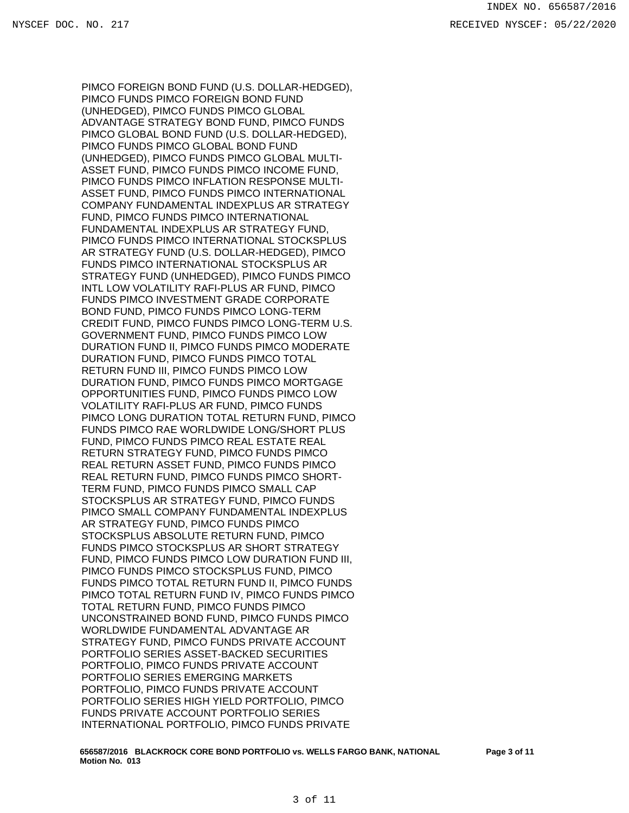PIMCO FOREIGN BOND FUND (U.S. DOLLAR-HEDGED), PIMCO FUNDS PIMCO FOREIGN BOND FUND (UNHEDGED), PIMCO FUNDS PIMCO GLOBAL ADVANTAGE STRATEGY BOND FUND, PIMCO FUNDS PIMCO GLOBAL BOND FUND (U.S. DOLLAR-HEDGED), PIMCO FUNDS PIMCO GLOBAL BOND FUND (UNHEDGED), PIMCO FUNDS PIMCO GLOBAL MULTI-ASSET FUND, PIMCO FUNDS PIMCO INCOME FUND, PIMCO FUNDS PIMCO INFLATION RESPONSE MULTI-ASSET FUND, PIMCO FUNDS PIMCO INTERNATIONAL COMPANY FUNDAMENTAL INDEXPLUS AR STRATEGY FUND, PIMCO FUNDS PIMCO INTERNATIONAL FUNDAMENTAL INDEXPLUS AR STRATEGY FUND, PIMCO FUNDS PIMCO INTERNATIONAL STOCKSPLUS AR STRATEGY FUND (U.S. DOLLAR-HEDGED), PIMCO FUNDS PIMCO INTERNATIONAL STOCKSPLUS AR STRATEGY FUND (UNHEDGED), PIMCO FUNDS PIMCO INTL LOW VOLATILITY RAFI-PLUS AR FUND, PIMCO FUNDS PIMCO INVESTMENT GRADE CORPORATE BOND FUND, PIMCO FUNDS PIMCO LONG-TERM CREDIT FUND, PIMCO FUNDS PIMCO LONG-TERM U.S. GOVERNMENT FUND, PIMCO FUNDS PIMCO LOW DURATION FUND II, PIMCO FUNDS PIMCO MODERATE DURATION FUND, PIMCO FUNDS PIMCO TOTAL RETURN FUND III, PIMCO FUNDS PIMCO LOW DURATION FUND, PIMCO FUNDS PIMCO MORTGAGE OPPORTUNITIES FUND, PIMCO FUNDS PIMCO LOW VOLATILITY RAFI-PLUS AR FUND, PIMCO FUNDS PIMCO LONG DURATION TOTAL RETURN FUND, PIMCO FUNDS PIMCO RAE WORLDWIDE LONG/SHORT PLUS FUND, PIMCO FUNDS PIMCO REAL ESTATE REAL RETURN STRATEGY FUND, PIMCO FUNDS PIMCO REAL RETURN ASSET FUND, PIMCO FUNDS PIMCO REAL RETURN FUND, PIMCO FUNDS PIMCO SHORT-TERM FUND, PIMCO FUNDS PIMCO SMALL CAP STOCKSPLUS AR STRATEGY FUND, PIMCO FUNDS PIMCO SMALL COMPANY FUNDAMENTAL INDEXPLUS AR STRATEGY FUND, PIMCO FUNDS PIMCO STOCKSPLUS ABSOLUTE RETURN FUND, PIMCO FUNDS PIMCO STOCKSPLUS AR SHORT STRATEGY FUND, PIMCO FUNDS PIMCO LOW DURATION FUND III, PIMCO FUNDS PIMCO STOCKSPLUS FUND, PIMCO FUNDS PIMCO TOTAL RETURN FUND II, PIMCO FUNDS PIMCO TOTAL RETURN FUND IV, PIMCO FUNDS PIMCO TOTAL RETURN FUND, PIMCO FUNDS PIMCO UNCONSTRAINED BOND FUND, PIMCO FUNDS PIMCO WORLDWIDE FUNDAMENTAL ADVANTAGE AR STRATEGY FUND, PIMCO FUNDS PRIVATE ACCOUNT PORTFOLIO SERIES ASSET-BACKED SECURITIES PORTFOLIO, PIMCO FUNDS PRIVATE ACCOUNT PORTFOLIO SERIES EMERGING MARKETS PORTFOLIO, PIMCO FUNDS PRIVATE ACCOUNT PORTFOLIO SERIES HIGH YIELD PORTFOLIO, PIMCO FUNDS PRIVATE ACCOUNT PORTFOLIO SERIES INTERNATIONAL PORTFOLIO, PIMCO FUNDS PRIVATE

**656587/2016 BLACKROCK CORE BOND PORTFOLIO vs. WELLS FARGO BANK, NATIONAL Motion No. 013**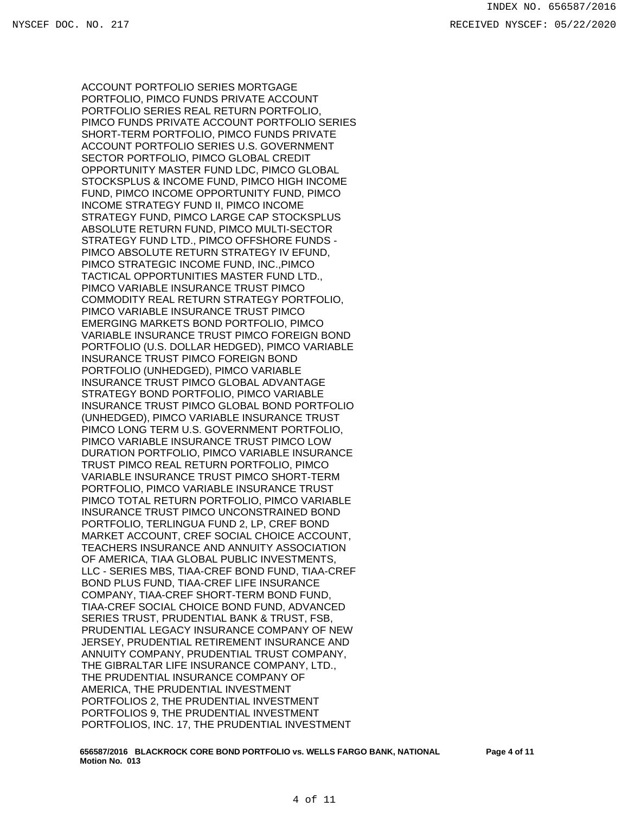ACCOUNT PORTFOLIO SERIES MORTGAGE PORTFOLIO, PIMCO FUNDS PRIVATE ACCOUNT PORTFOLIO SERIES REAL RETURN PORTFOLIO, PIMCO FUNDS PRIVATE ACCOUNT PORTFOLIO SERIES SHORT-TERM PORTFOLIO, PIMCO FUNDS PRIVATE ACCOUNT PORTFOLIO SERIES U.S. GOVERNMENT SECTOR PORTFOLIO, PIMCO GLOBAL CREDIT OPPORTUNITY MASTER FUND LDC, PIMCO GLOBAL STOCKSPLUS & INCOME FUND, PIMCO HIGH INCOME FUND, PIMCO INCOME OPPORTUNITY FUND, PIMCO INCOME STRATEGY FUND II, PIMCO INCOME STRATEGY FUND, PIMCO LARGE CAP STOCKSPLUS ABSOLUTE RETURN FUND, PIMCO MULTI-SECTOR STRATEGY FUND LTD., PIMCO OFFSHORE FUNDS - PIMCO ABSOLUTE RETURN STRATEGY IV EFUND, PIMCO STRATEGIC INCOME FUND, INC.,PIMCO TACTICAL OPPORTUNITIES MASTER FUND LTD., PIMCO VARIABLE INSURANCE TRUST PIMCO COMMODITY REAL RETURN STRATEGY PORTFOLIO, PIMCO VARIABLE INSURANCE TRUST PIMCO EMERGING MARKETS BOND PORTFOLIO, PIMCO VARIABLE INSURANCE TRUST PIMCO FOREIGN BOND PORTFOLIO (U.S. DOLLAR HEDGED), PIMCO VARIABLE INSURANCE TRUST PIMCO FOREIGN BOND PORTFOLIO (UNHEDGED), PIMCO VARIABLE INSURANCE TRUST PIMCO GLOBAL ADVANTAGE STRATEGY BOND PORTFOLIO, PIMCO VARIABLE INSURANCE TRUST PIMCO GLOBAL BOND PORTFOLIO (UNHEDGED), PIMCO VARIABLE INSURANCE TRUST PIMCO LONG TERM U.S. GOVERNMENT PORTFOLIO, PIMCO VARIABLE INSURANCE TRUST PIMCO LOW DURATION PORTFOLIO, PIMCO VARIABLE INSURANCE TRUST PIMCO REAL RETURN PORTFOLIO, PIMCO VARIABLE INSURANCE TRUST PIMCO SHORT-TERM PORTFOLIO, PIMCO VARIABLE INSURANCE TRUST PIMCO TOTAL RETURN PORTFOLIO, PIMCO VARIABLE INSURANCE TRUST PIMCO UNCONSTRAINED BOND PORTFOLIO, TERLINGUA FUND 2, LP, CREF BOND MARKET ACCOUNT, CREF SOCIAL CHOICE ACCOUNT, TEACHERS INSURANCE AND ANNUITY ASSOCIATION OF AMERICA, TIAA GLOBAL PUBLIC INVESTMENTS, LLC - SERIES MBS, TIAA-CREF BOND FUND, TIAA-CREF BOND PLUS FUND, TIAA-CREF LIFE INSURANCE COMPANY, TIAA-CREF SHORT-TERM BOND FUND, TIAA-CREF SOCIAL CHOICE BOND FUND, ADVANCED SERIES TRUST, PRUDENTIAL BANK & TRUST, FSB, PRUDENTIAL LEGACY INSURANCE COMPANY OF NEW JERSEY, PRUDENTIAL RETIREMENT INSURANCE AND ANNUITY COMPANY, PRUDENTIAL TRUST COMPANY, THE GIBRALTAR LIFE INSURANCE COMPANY, LTD., THE PRUDENTIAL INSURANCE COMPANY OF AMERICA, THE PRUDENTIAL INVESTMENT PORTFOLIOS 2, THE PRUDENTIAL INVESTMENT PORTFOLIOS 9, THE PRUDENTIAL INVESTMENT PORTFOLIOS, INC. 17, THE PRUDENTIAL INVESTMENT

**656587/2016 BLACKROCK CORE BOND PORTFOLIO vs. WELLS FARGO BANK, NATIONAL Motion No. 013**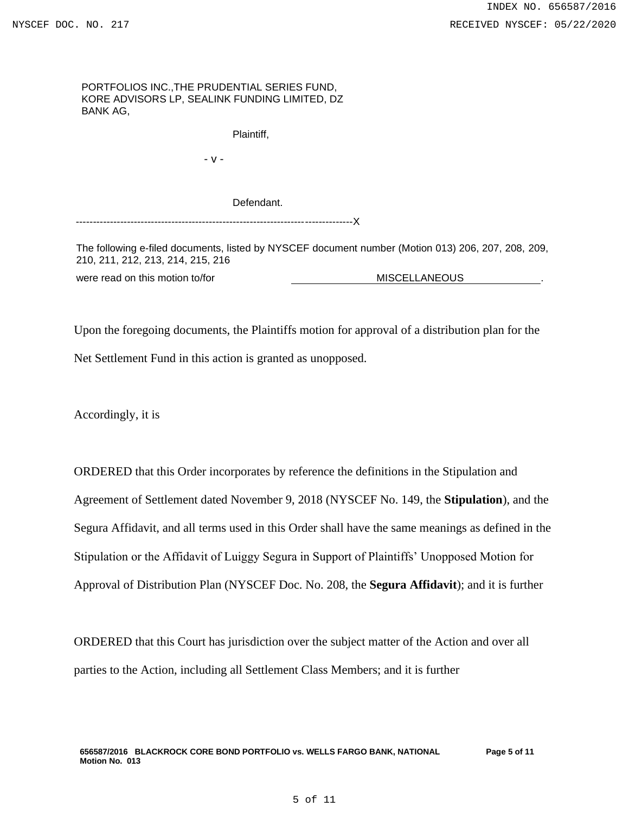## PORTFOLIOS INC.,THE PRUDENTIAL SERIES FUND, KORE ADVISORS LP, SEALINK FUNDING LIMITED, DZ BANK AG,

Plaintiff,

- v -

Defendant.

---------------------------------------------------------------------------------X

The following e-filed documents, listed by NYSCEF document number (Motion 013) 206, 207, 208, 209, 210, 211, 212, 213, 214, 215, 216

were read on this motion to/for **MISCELLANEOUS** ...

Upon the foregoing documents, the Plaintiffs motion for approval of a distribution plan for the Net Settlement Fund in this action is granted as unopposed.

Accordingly, it is

ORDERED that this Order incorporates by reference the definitions in the Stipulation and Agreement of Settlement dated November 9, 2018 (NYSCEF No. 149, the **Stipulation**), and the Segura Affidavit, and all terms used in this Order shall have the same meanings as defined in the Stipulation or the Affidavit of Luiggy Segura in Support of Plaintiffs' Unopposed Motion for Approval of Distribution Plan (NYSCEF Doc. No. 208, the **Segura Affidavit**); and it is further

ORDERED that this Court has jurisdiction over the subject matter of the Action and over all parties to the Action, including all Settlement Class Members; and it is further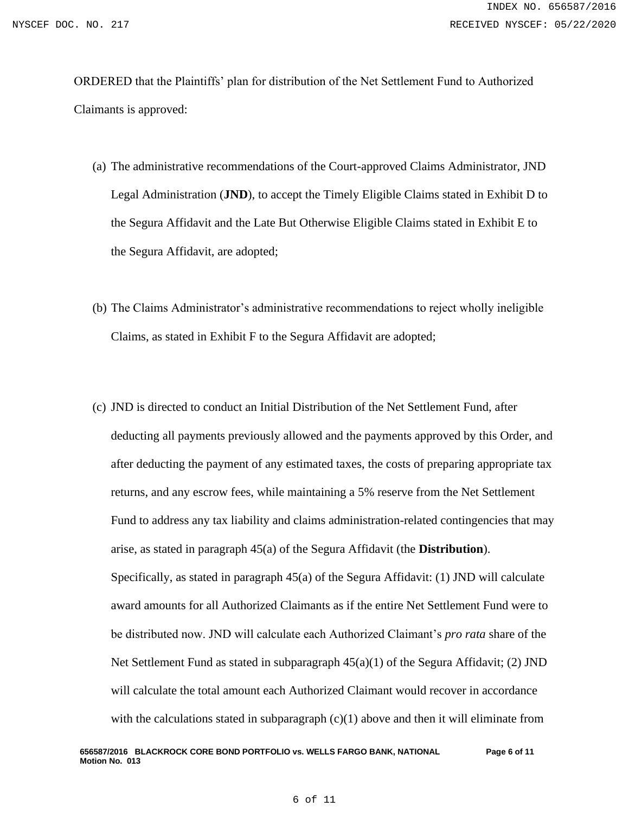ORDERED that the Plaintiffs' plan for distribution of the Net Settlement Fund to Authorized Claimants is approved:

- (a) The administrative recommendations of the Court-approved Claims Administrator, JND Legal Administration (**JND**), to accept the Timely Eligible Claims stated in Exhibit D to the Segura Affidavit and the Late But Otherwise Eligible Claims stated in Exhibit E to the Segura Affidavit, are adopted;
- (b) The Claims Administrator's administrative recommendations to reject wholly ineligible Claims, as stated in Exhibit F to the Segura Affidavit are adopted;
- (c) JND is directed to conduct an Initial Distribution of the Net Settlement Fund, after deducting all payments previously allowed and the payments approved by this Order, and after deducting the payment of any estimated taxes, the costs of preparing appropriate tax returns, and any escrow fees, while maintaining a 5% reserve from the Net Settlement Fund to address any tax liability and claims administration-related contingencies that may arise, as stated in paragraph 45(a) of the Segura Affidavit (the **Distribution**). Specifically, as stated in paragraph 45(a) of the Segura Affidavit: (1) JND will calculate award amounts for all Authorized Claimants as if the entire Net Settlement Fund were to be distributed now. JND will calculate each Authorized Claimant's *pro rata* share of the Net Settlement Fund as stated in subparagraph 45(a)(1) of the Segura Affidavit; (2) JND will calculate the total amount each Authorized Claimant would recover in accordance with the calculations stated in subparagraph  $(c)(1)$  above and then it will eliminate from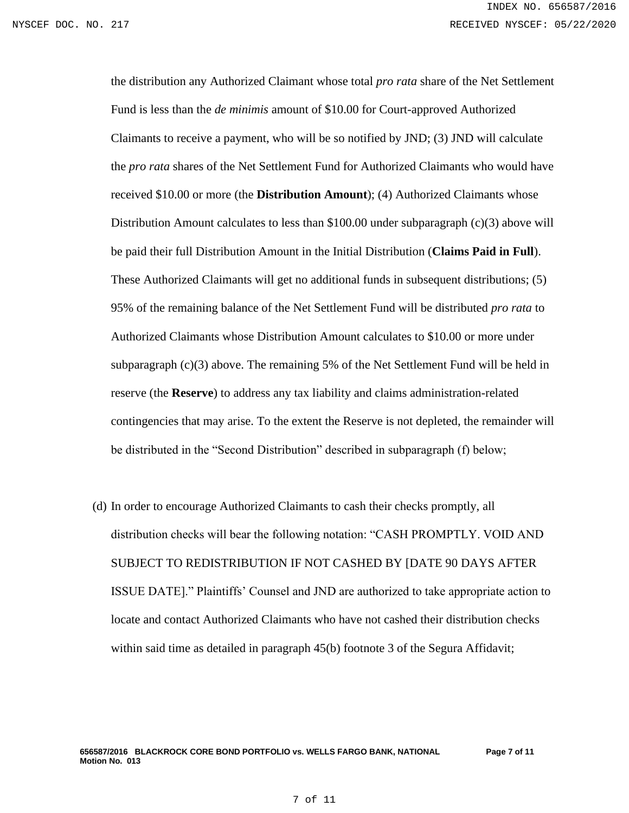the distribution any Authorized Claimant whose total *pro rata* share of the Net Settlement Fund is less than the *de minimis* amount of \$10.00 for Court-approved Authorized Claimants to receive a payment, who will be so notified by JND; (3) JND will calculate the *pro rata* shares of the Net Settlement Fund for Authorized Claimants who would have received \$10.00 or more (the **Distribution Amount**); (4) Authorized Claimants whose Distribution Amount calculates to less than \$100.00 under subparagraph (c)(3) above will be paid their full Distribution Amount in the Initial Distribution (**Claims Paid in Full**). These Authorized Claimants will get no additional funds in subsequent distributions; (5) 95% of the remaining balance of the Net Settlement Fund will be distributed *pro rata* to Authorized Claimants whose Distribution Amount calculates to \$10.00 or more under subparagraph  $(c)(3)$  above. The remaining 5% of the Net Settlement Fund will be held in reserve (the **Reserve**) to address any tax liability and claims administration-related contingencies that may arise. To the extent the Reserve is not depleted, the remainder will be distributed in the "Second Distribution" described in subparagraph (f) below;

(d) In order to encourage Authorized Claimants to cash their checks promptly, all distribution checks will bear the following notation: "CASH PROMPTLY. VOID AND SUBJECT TO REDISTRIBUTION IF NOT CASHED BY [DATE 90 DAYS AFTER ISSUE DATE]." Plaintiffs' Counsel and JND are authorized to take appropriate action to locate and contact Authorized Claimants who have not cashed their distribution checks within said time as detailed in paragraph 45(b) footnote 3 of the Segura Affidavit;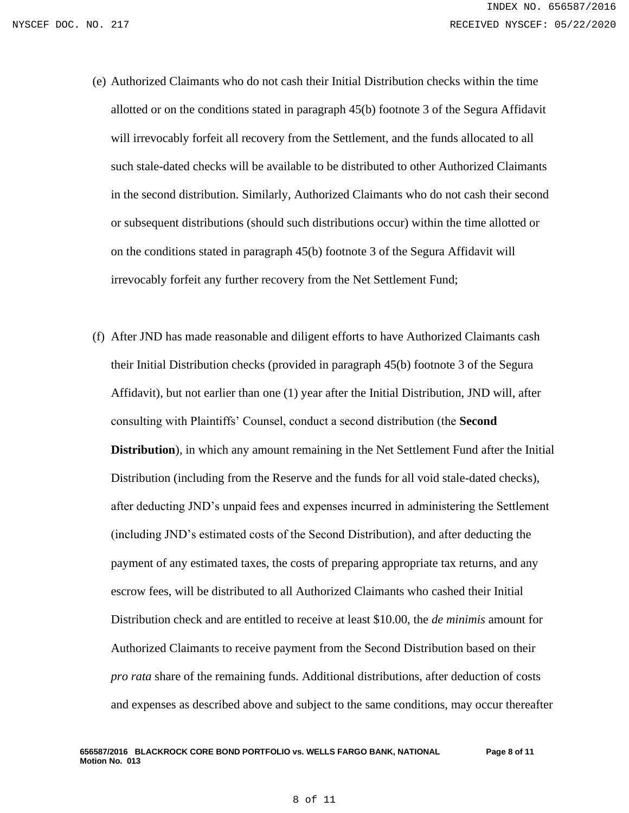- (e) Authorized Claimants who do not cash their Initial Distribution checks within the time allotted or on the conditions stated in paragraph 45(b) footnote 3 of the Segura Affidavit will irrevocably forfeit all recovery from the Settlement, and the funds allocated to all such stale-dated checks will be available to be distributed to other Authorized Claimants in the second distribution. Similarly, Authorized Claimants who do not cash their second or subsequent distributions (should such distributions occur) within the time allotted or on the conditions stated in paragraph 45(b) footnote 3 of the Segura Affidavit will irrevocably forfeit any further recovery from the Net Settlement Fund;
- (f) After JND has made reasonable and diligent efforts to have Authorized Claimants cash their Initial Distribution checks (provided in paragraph 45(b) footnote 3 of the Segura Affidavit), but not earlier than one (1) year after the Initial Distribution, JND will, after consulting with Plaintiffs' Counsel, conduct a second distribution (the **Second Distribution**), in which any amount remaining in the Net Settlement Fund after the Initial Distribution (including from the Reserve and the funds for all void stale-dated checks), after deducting JND's unpaid fees and expenses incurred in administering the Settlement (including JND's estimated costs of the Second Distribution), and after deducting the payment of any estimated taxes, the costs of preparing appropriate tax returns, and any escrow fees, will be distributed to all Authorized Claimants who cashed their Initial Distribution check and are entitled to receive at least \$10.00, the *de minimis* amount for Authorized Claimants to receive payment from the Second Distribution based on their *pro rata* share of the remaining funds. Additional distributions, after deduction of costs and expenses as described above and subject to the same conditions, may occur thereafter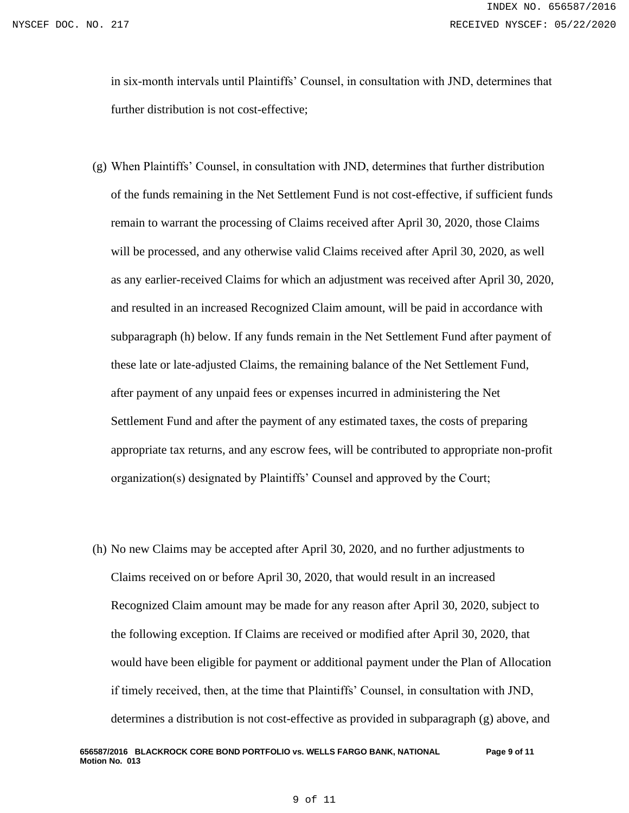in six-month intervals until Plaintiffs' Counsel, in consultation with JND, determines that further distribution is not cost-effective;

- (g) When Plaintiffs' Counsel, in consultation with JND, determines that further distribution of the funds remaining in the Net Settlement Fund is not cost-effective, if sufficient funds remain to warrant the processing of Claims received after April 30, 2020, those Claims will be processed, and any otherwise valid Claims received after April 30, 2020, as well as any earlier-received Claims for which an adjustment was received after April 30, 2020, and resulted in an increased Recognized Claim amount, will be paid in accordance with subparagraph (h) below. If any funds remain in the Net Settlement Fund after payment of these late or late-adjusted Claims, the remaining balance of the Net Settlement Fund, after payment of any unpaid fees or expenses incurred in administering the Net Settlement Fund and after the payment of any estimated taxes, the costs of preparing appropriate tax returns, and any escrow fees, will be contributed to appropriate non-profit organization(s) designated by Plaintiffs' Counsel and approved by the Court;
- (h) No new Claims may be accepted after April 30, 2020, and no further adjustments to Claims received on or before April 30, 2020, that would result in an increased Recognized Claim amount may be made for any reason after April 30, 2020, subject to the following exception. If Claims are received or modified after April 30, 2020, that would have been eligible for payment or additional payment under the Plan of Allocation if timely received, then, at the time that Plaintiffs' Counsel, in consultation with JND, determines a distribution is not cost-effective as provided in subparagraph (g) above, and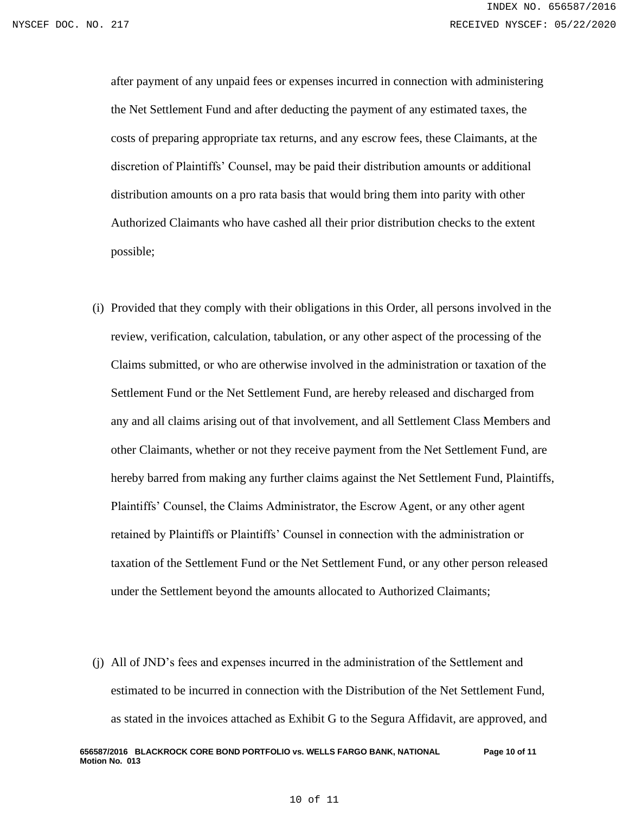after payment of any unpaid fees or expenses incurred in connection with administering the Net Settlement Fund and after deducting the payment of any estimated taxes, the costs of preparing appropriate tax returns, and any escrow fees, these Claimants, at the discretion of Plaintiffs' Counsel, may be paid their distribution amounts or additional distribution amounts on a pro rata basis that would bring them into parity with other Authorized Claimants who have cashed all their prior distribution checks to the extent possible;

- (i) Provided that they comply with their obligations in this Order, all persons involved in the review, verification, calculation, tabulation, or any other aspect of the processing of the Claims submitted, or who are otherwise involved in the administration or taxation of the Settlement Fund or the Net Settlement Fund, are hereby released and discharged from any and all claims arising out of that involvement, and all Settlement Class Members and other Claimants, whether or not they receive payment from the Net Settlement Fund, are hereby barred from making any further claims against the Net Settlement Fund, Plaintiffs, Plaintiffs' Counsel, the Claims Administrator, the Escrow Agent, or any other agent retained by Plaintiffs or Plaintiffs' Counsel in connection with the administration or taxation of the Settlement Fund or the Net Settlement Fund, or any other person released under the Settlement beyond the amounts allocated to Authorized Claimants;
- (j) All of JND's fees and expenses incurred in the administration of the Settlement and estimated to be incurred in connection with the Distribution of the Net Settlement Fund, as stated in the invoices attached as Exhibit G to the Segura Affidavit, are approved, and